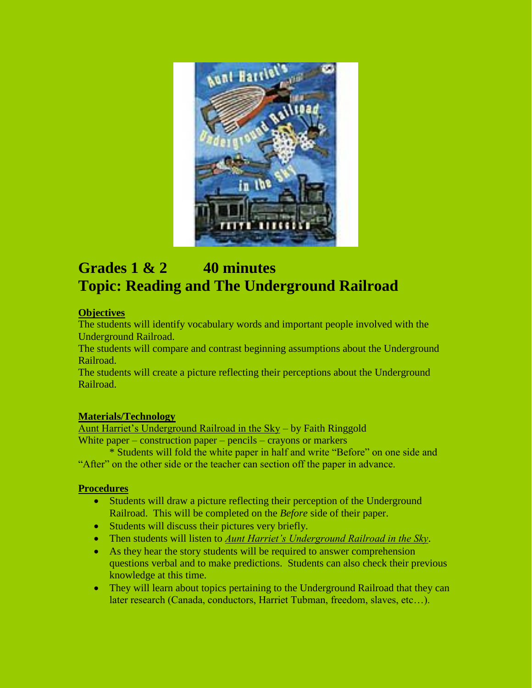

# **Grades 1 & 2 40 minutes Topic: Reading and The Underground Railroad**

### **Objectives**

The students will identify vocabulary words and important people involved with the Underground Railroad.

The students will compare and contrast beginning assumptions about the Underground Railroad.

The students will create a picture reflecting their perceptions about the Underground Railroad.

### **Materials/Technology**

Aunt Harriet's Underground Railroad in the Sky – by Faith Ringgold White paper – construction paper – pencils – crayons or markers

\* Students will fold the white paper in half and write "Before" on one side and "After" on the other side or the teacher can section off the paper in advance.

### **Procedures**

- Students will draw a picture reflecting their perception of the Underground Railroad. This will be completed on the *Before* side of their paper.
- Students will discuss their pictures very briefly.
- Then students will listen to *Aunt Harriet's Underground Railroad in the Sky*.
- As they hear the story students will be required to answer comprehension questions verbal and to make predictions. Students can also check their previous knowledge at this time.
- They will learn about topics pertaining to the Underground Railroad that they can later research (Canada, conductors, Harriet Tubman, freedom, slaves, etc…).